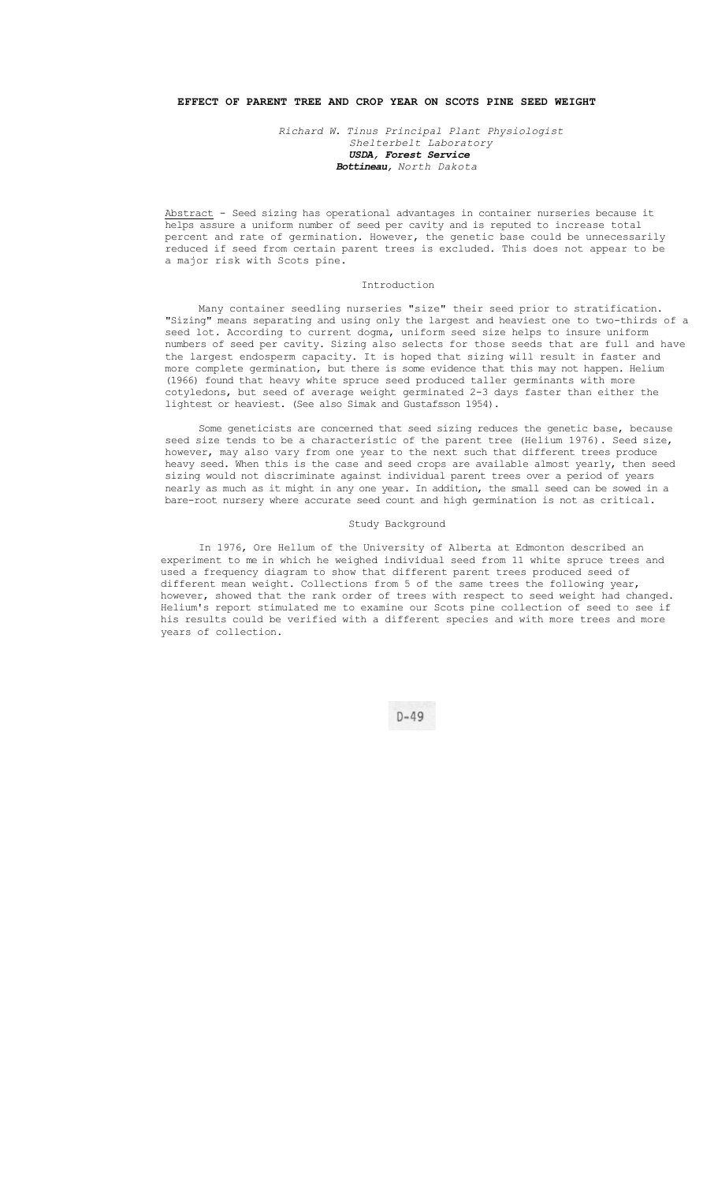# **EFFECT OF PARENT TREE AND CROP YEAR ON SCOTS PINE SEED WEIGHT**

*Richard W. Tinus Principal Plant Physiologist Shelterbelt Laboratory USDA, Forest Service Bottineau, North Dakota* 

Abstract - Seed sizing has operational advantages in container nurseries because it helps assure a uniform number of seed per cavity and is reputed to increase total percent and rate of germination. However, the genetic base could be unnecessarily reduced if seed from certain parent trees is excluded. This does not appear to be a major risk with Scots pine.

## Introduction

Many container seedling nurseries "size" their seed prior to stratification. "Sizing" means separating and using only the largest and heaviest one to two-thirds of a seed lot. According to current dogma, uniform seed size helps to insure uniform numbers of seed per cavity. Sizing also selects for those seeds that are full and have the largest endosperm capacity. It is hoped that sizing will result in faster and more complete germination, but there is some evidence that this may not happen. Helium (1966) found that heavy white spruce seed produced taller germinants with more cotyledons, but seed of average weight germinated 2-3 days faster than either the lightest or heaviest. (See also Simak and Gustafsson 1954).

Some geneticists are concerned that seed sizing reduces the genetic base, because seed size tends to be a characteristic of the parent tree (Helium 1976). Seed size, however, may also vary from one year to the next such that different trees produce heavy seed. When this is the case and seed crops are available almost yearly, then seed sizing would not discriminate against individual parent trees over a period of years nearly as much as it might in any one year. In addition, the small seed can be sowed in a bare-root nursery where accurate seed count and high germination is not as critical.

#### Study Background

In 1976, Ore Hellum of the University of Alberta at Edmonton described an experiment to me in which he weighed individual seed from 11 white spruce trees and used a frequency diagram to show that different parent trees produced seed of different mean weight. Collections from 5 of the same trees the following year, however, showed that the rank order of trees with respect to seed weight had changed. Helium's report stimulated me to examine our Scots pine collection of seed to see if his results could be verified with a different species and with more trees and more years of collection.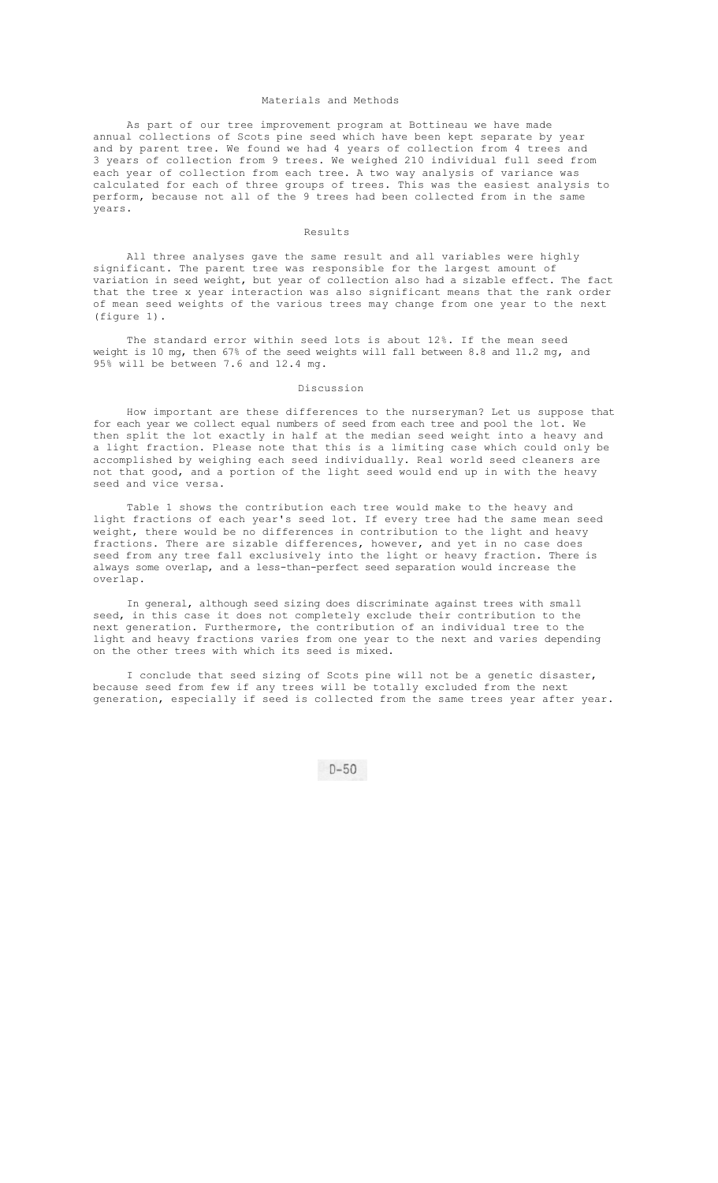## Materials and Methods

As part of our tree improvement program at Bottineau we have made annual collections of Scots pine seed which have been kept separate by year and by parent tree. We found we had 4 years of collection from 4 trees and 3 years of collection from 9 trees. We weighed 210 individual full seed from each year of collection from each tree. A two way analysis of variance was calculated for each of three groups of trees. This was the easiest analysis to perform, because not all of the 9 trees had been collected from in the same years.

## Results

All three analyses gave the same result and all variables were highly significant. The parent tree was responsible for the largest amount of variation in seed weight, but year of collection also had a sizable effect. The fact that the tree x year interaction was also significant means that the rank order of mean seed weights of the various trees may change from one year to the next (figure 1).

The standard error within seed lots is about 12%. If the mean seed weight is 10 mg, then 67% of the seed weights will fall between 8.8 and 11.2 mg, and 95% will be between 7.6 and 12.4 mg.

## Discussion

How important are these differences to the nurseryman? Let us suppose that for each year we collect equal numbers of seed from each tree and pool the lot. We then split the lot exactly in half at the median seed weight into a heavy and a light fraction. Please note that this is a limiting case which could only be accomplished by weighing each seed individually. Real world seed cleaners are not that good, and a portion of the light seed would end up in with the heavy seed and vice versa.

Table 1 shows the contribution each tree would make to the heavy and light fractions of each year's seed lot. If every tree had the same mean seed weight, there would be no differences in contribution to the light and heavy fractions. There are sizable differences, however, and yet in no case does seed from any tree fall exclusively into the light or heavy fraction. There is always some overlap, and a less-than-perfect seed separation would increase the overlap.

In general, although seed sizing does discriminate against trees with small seed, in this case it does not completely exclude their contribution to the next generation. Furthermore, the contribution of an individual tree to the light and heavy fractions varies from one year to the next and varies depending on the other trees with which its seed is mixed.

I conclude that seed sizing of Scots pine will not be a genetic disaster, because seed from few if any trees will be totally excluded from the next generation, especially if seed is collected from the same trees year after year.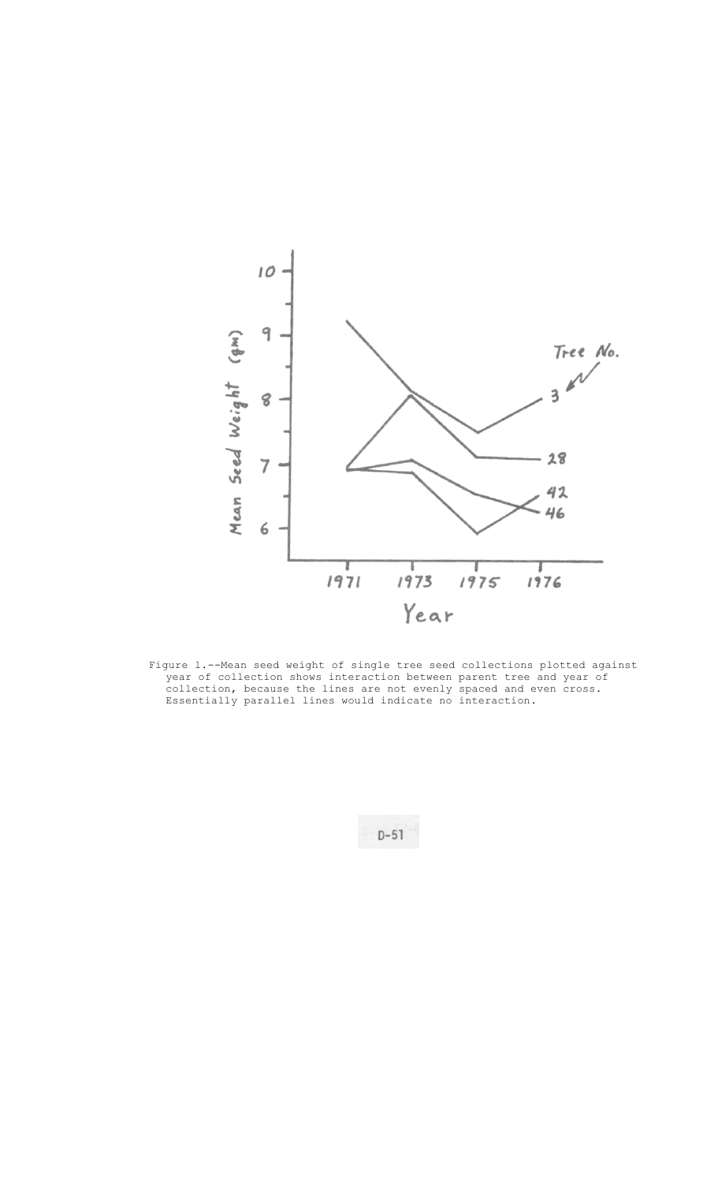

Figure l.--Mean seed weight of single tree seed collections plotted against year of collection shows interaction between parent tree and year of collection, because the lines are not evenly spaced and even cross. Essentially parallel lines would indicate no interaction.

 $D-51$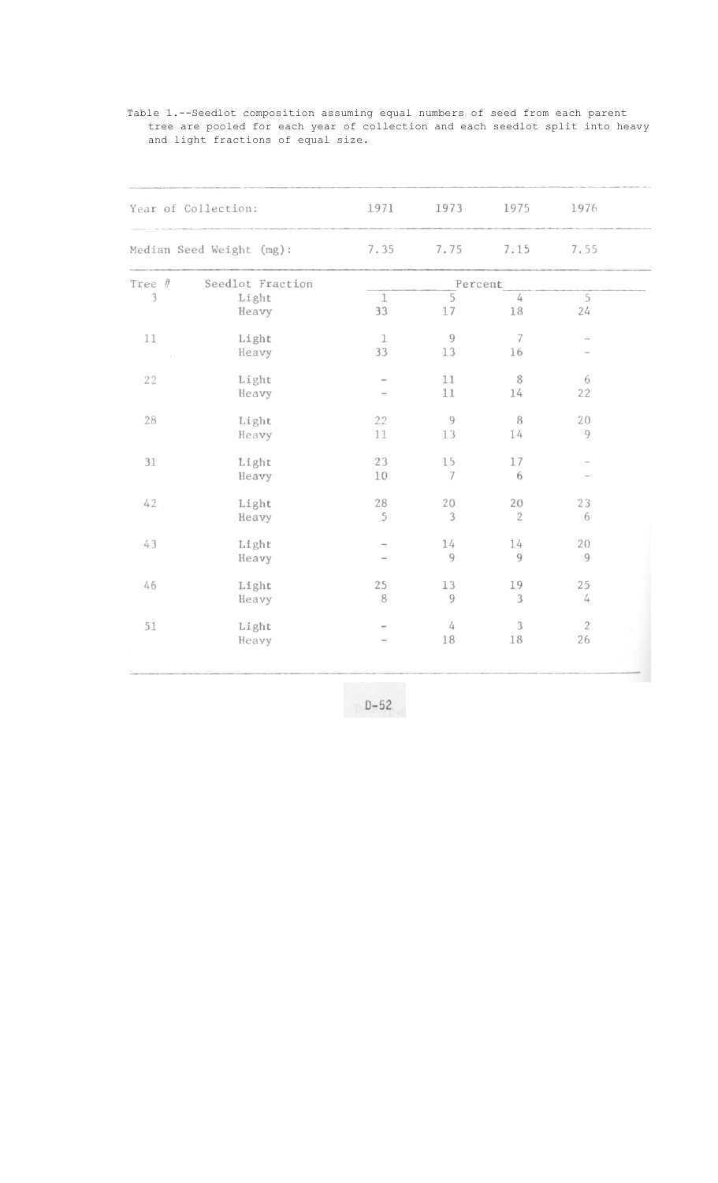| Year of Collection:<br>Median Seed Weight (mg): |                  | 1971<br>7.35       | 1973<br>7.75         | 1975<br>7.15         | 1976               |  |
|-------------------------------------------------|------------------|--------------------|----------------------|----------------------|--------------------|--|
|                                                 |                  |                    |                      |                      | 7.55               |  |
| Tree #                                          | Seedlot Fraction | Percent            |                      |                      |                    |  |
| 3                                               | Light<br>Heavy   | $\mathbf{1}$<br>33 | $\overline{5}$<br>17 | 4<br>18              | 5<br>24            |  |
| 11                                              | Light<br>Heavy   | $\mathbf{1}$<br>33 | 9<br>13              | 7<br>16              |                    |  |
| 22                                              | Light<br>Heavy   |                    | 11<br>11             | 8<br>14              | 6<br>22            |  |
| 28                                              | Light<br>Heavy   | 22<br>11           | $\overline{9}$<br>13 | 8<br>14              | 20<br>9            |  |
| 31                                              | Light<br>Heavy   | 23<br>10           | 15<br>7              | 17<br>6              |                    |  |
| 42                                              | Light<br>Heavy   | 28<br>5            | 20<br>3              | 20<br>$\overline{2}$ | 23<br>6            |  |
| 43                                              | Light<br>Heavy   |                    | 14<br>9              | 14<br>9              | 20<br>9            |  |
| 46                                              | Light<br>Heavy   | 25<br>8            | 13<br>9              | 19<br>3              | 25<br>4            |  |
| 51                                              | Light<br>Heavy   |                    | 4<br>18              | 3<br>18              | $\mathbf{2}$<br>26 |  |

Table 1.--Seedlot composition assuming equal numbers of seed from each parent tree are pooled for each year of collection and each seedlot split into heavy and light fractions of equal size.